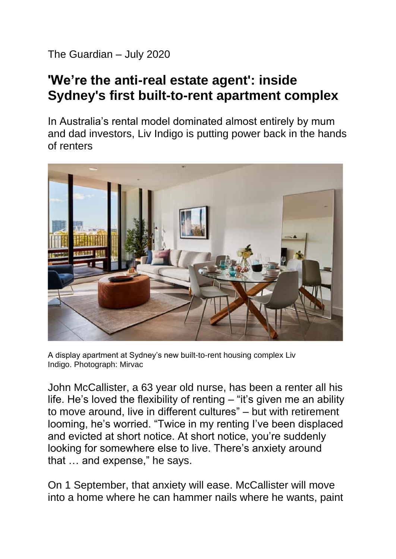The Guardian – July 2020

## **'We're the anti-real estate agent': inside Sydney's first built-to-rent apartment complex**

In Australia's rental model dominated almost entirely by mum and dad investors, Liv Indigo is putting power back in the hands of renters



A display apartment at Sydney's new built-to-rent housing complex Liv Indigo. Photograph: Mirvac

John McCallister, a 63 year old nurse, has been a renter all his life. He's loved the flexibility of renting – "it's given me an ability to move around, live in different cultures" – but with retirement looming, he's worried. "Twice in my renting I've been displaced and evicted at short notice. At short notice, you're suddenly looking for somewhere else to live. There's anxiety around that … and expense," he says.

On 1 September, that anxiety will ease. McCallister will move into a home where he can hammer nails where he wants, paint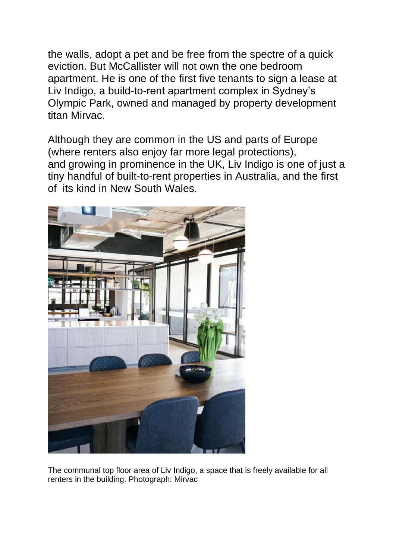the walls, adopt a pet and be free from the spectre of a quick eviction. But McCallister will not own the one bedroom apartment. He is one of the first five tenants to sign a lease at Liv Indigo, a build-to-rent apartment complex in Sydney's Olympic Park, owned and managed by property development titan Mirvac.

Although they are common in the US and parts of Europe (where renters also enjoy far more legal protections), and growing in prominence in the UK, Liv Indigo is one of just a tiny handful of built-to-rent properties in Australia, and the first of its kind in New South Wales.



The communal top floor area of Liv Indigo, a space that is freely available for all renters in the building. Photograph: Mirvac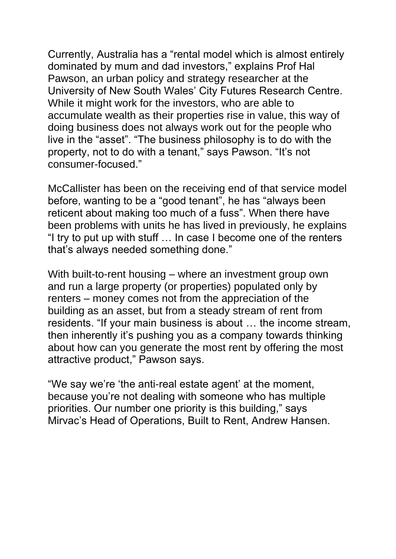Currently, Australia has a "rental model which is almost entirely dominated by mum and dad investors," explains Prof Hal Pawson, an urban policy and strategy researcher at the University of New South Wales' City Futures Research Centre. While it might work for the investors, who are able to accumulate wealth as their properties rise in value, this way of doing business does not always work out for the people who live in the "asset". "The business philosophy is to do with the property, not to do with a tenant," says Pawson. "It's not consumer-focused."

McCallister has been on the receiving end of that service model before, wanting to be a "good tenant", he has "always been reticent about making too much of a fuss". When there have been problems with units he has lived in previously, he explains "I try to put up with stuff … In case I become one of the renters that's always needed something done."

With built-to-rent housing – where an investment group own and run a large property (or properties) populated only by renters – money comes not from the appreciation of the building as an asset, but from a steady stream of rent from residents. "If your main business is about … the income stream, then inherently it's pushing you as a company towards thinking about how can you generate the most rent by offering the most attractive product," Pawson says.

"We say we're 'the anti-real estate agent' at the moment, because you're not dealing with someone who has multiple priorities. Our number one priority is this building," says Mirvac's Head of Operations, Built to Rent, Andrew Hansen.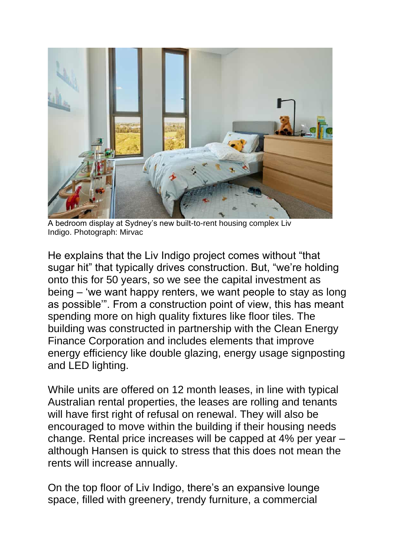

A bedroom display at Sydney's new built-to-rent housing complex Liv Indigo. Photograph: Mirvac

He explains that the Liv Indigo project comes without "that sugar hit" that typically drives construction. But, "we're holding onto this for 50 years, so we see the capital investment as being – 'we want happy renters, we want people to stay as long as possible'". From a construction point of view, this has meant spending more on high quality fixtures like floor tiles. The building was constructed in partnership with the Clean Energy Finance Corporation and includes elements that improve energy efficiency like double glazing, energy usage signposting and LED lighting.

While units are offered on 12 month leases, in line with typical Australian rental properties, the leases are rolling and tenants will have first right of refusal on renewal. They will also be encouraged to move within the building if their housing needs change. Rental price increases will be capped at 4% per year – although Hansen is quick to stress that this does not mean the rents will increase annually.

On the top floor of Liv Indigo, there's an expansive lounge space, filled with greenery, trendy furniture, a commercial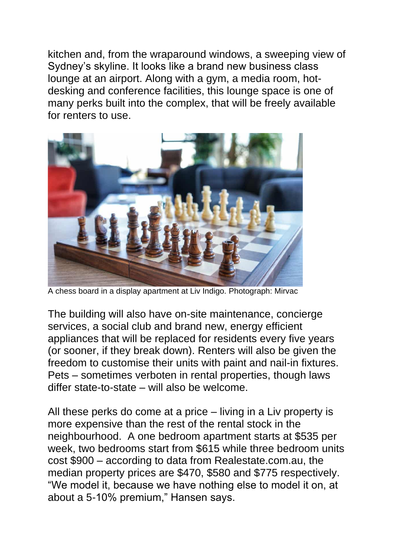kitchen and, from the wraparound windows, a sweeping view of Sydney's skyline. It looks like a brand new business class lounge at an airport. Along with a gym, a media room, hotdesking and conference facilities, this lounge space is one of many perks built into the complex, that will be freely available for renters to use.



A chess board in a display apartment at Liv Indigo. Photograph: Mirvac

The building will also have on-site maintenance, concierge services, a social club and brand new, energy efficient appliances that will be replaced for residents every five years (or sooner, if they break down). Renters will also be given the freedom to customise their units with paint and nail-in fixtures. Pets – sometimes verboten in rental properties, though laws differ state-to-state – will also be welcome.

All these perks do come at a price – living in a Liv property is more expensive than the rest of the rental stock in the neighbourhood. A one bedroom apartment starts at \$535 per week, two bedrooms start from \$615 while three bedroom units cost \$900 – according to data from Realestate.com.au, the median property prices are \$470, \$580 and \$775 respectively. "We model it, because we have nothing else to model it on, at about a 5-10% premium," Hansen says.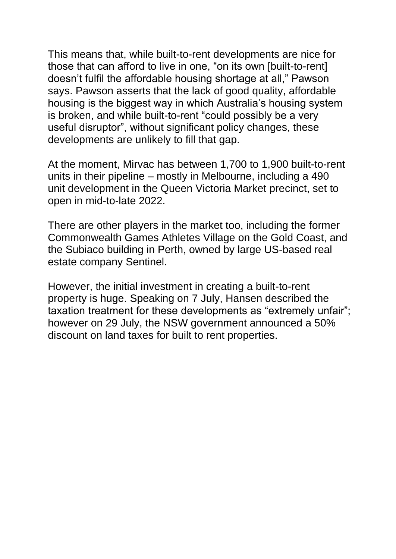This means that, while built-to-rent developments are nice for those that can afford to live in one, "on its own [built-to-rent] doesn't fulfil the affordable housing shortage at all," Pawson says. Pawson asserts that the lack of good quality, affordable housing is the biggest way in which Australia's housing system is broken, and while built-to-rent "could possibly be a very useful disruptor", without significant policy changes, these developments are unlikely to fill that gap.

At the moment, Mirvac has between 1,700 to 1,900 built-to-rent units in their pipeline – mostly in Melbourne, including a 490 unit development in the Queen Victoria Market precinct, set to open in mid-to-late 2022.

There are other players in the market too, including the former Commonwealth Games Athletes Village on the Gold Coast, and the Subiaco building in Perth, owned by large US-based real estate company Sentinel.

However, the initial investment in creating a built-to-rent property is huge. Speaking on 7 July, Hansen described the taxation treatment for these developments as "extremely unfair"; however on 29 July, the NSW government announced a 50% discount on land taxes for built to rent properties.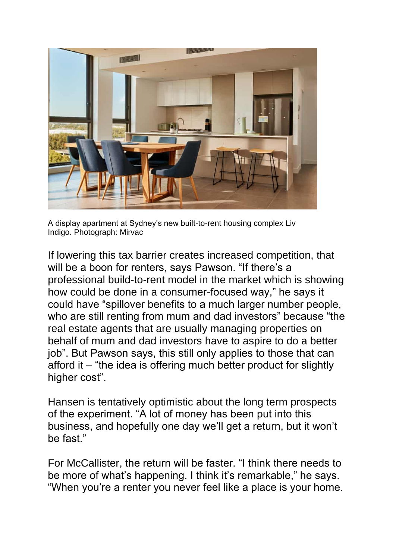

A display apartment at Sydney's new built-to-rent housing complex Liv Indigo. Photograph: Mirvac

If lowering this tax barrier creates increased competition, that will be a boon for renters, says Pawson. "If there's a professional build-to-rent model in the market which is showing how could be done in a consumer-focused way," he says it could have "spillover benefits to a much larger number people, who are still renting from mum and dad investors" because "the real estate agents that are usually managing properties on behalf of mum and dad investors have to aspire to do a better job". But Pawson says, this still only applies to those that can afford it – "the idea is offering much better product for slightly higher cost".

Hansen is tentatively optimistic about the long term prospects of the experiment. "A lot of money has been put into this business, and hopefully one day we'll get a return, but it won't be fast."

For McCallister, the return will be faster. "I think there needs to be more of what's happening. I think it's remarkable," he says. "When you're a renter you never feel like a place is your home.